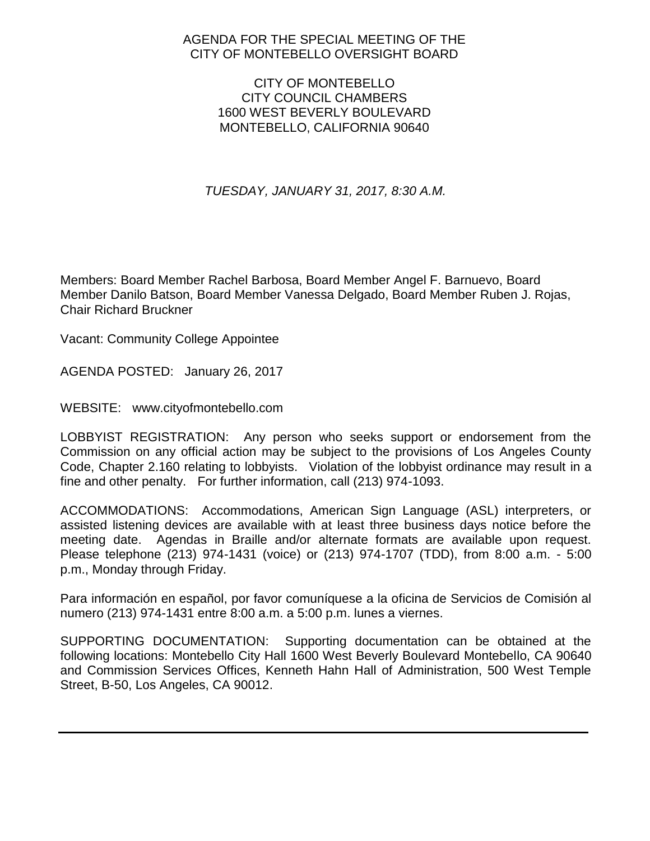# AGENDA FOR THE SPECIAL MEETING OF THE CITY OF MONTEBELLO OVERSIGHT BOARD

## CITY OF MONTEBELLO CITY COUNCIL CHAMBERS 1600 WEST BEVERLY BOULEVARD MONTEBELLO, CALIFORNIA 90640

*TUESDAY, JANUARY 31, 2017, 8:30 A.M.*

Members: Board Member Rachel Barbosa, Board Member Angel F. Barnuevo, Board Member Danilo Batson, Board Member Vanessa Delgado, Board Member Ruben J. Rojas, Chair Richard Bruckner

Vacant: Community College Appointee

AGENDA POSTED: January 26, 2017

WEBSITE: www.cityofmontebello.com

LOBBYIST REGISTRATION: Any person who seeks support or endorsement from the Commission on any official action may be subject to the provisions of Los Angeles County Code, Chapter 2.160 relating to lobbyists. Violation of the lobbyist ordinance may result in a fine and other penalty. For further information, call (213) 974-1093.

ACCOMMODATIONS: Accommodations, American Sign Language (ASL) interpreters, or assisted listening devices are available with at least three business days notice before the meeting date. Agendas in Braille and/or alternate formats are available upon request. Please telephone (213) 974-1431 (voice) or (213) 974-1707 (TDD), from 8:00 a.m. - 5:00 p.m., Monday through Friday.

Para información en español, por favor comuníquese a la oficina de Servicios de Comisión al numero (213) 974-1431 entre 8:00 a.m. a 5:00 p.m. lunes a viernes.

SUPPORTING DOCUMENTATION: Supporting documentation can be obtained at the following locations: Montebello City Hall 1600 West Beverly Boulevard Montebello, CA 90640 and Commission Services Offices, Kenneth Hahn Hall of Administration, 500 West Temple Street, B-50, Los Angeles, CA 90012.